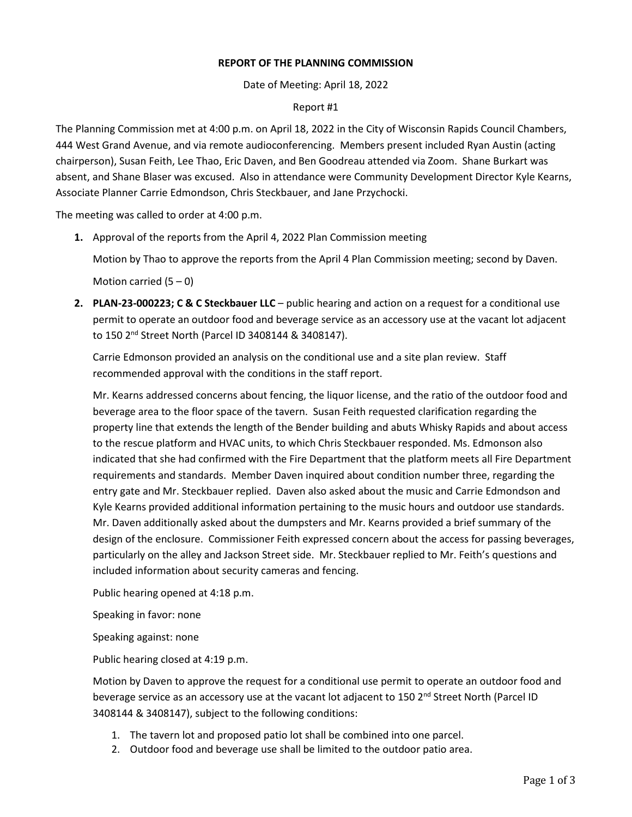## **REPORT OF THE PLANNING COMMISSION**

Date of Meeting: April 18, 2022

## Report #1

The Planning Commission met at 4:00 p.m. on April 18, 2022 in the City of Wisconsin Rapids Council Chambers, 444 West Grand Avenue, and via remote audioconferencing. Members present included Ryan Austin (acting chairperson), Susan Feith, Lee Thao, Eric Daven, and Ben Goodreau attended via Zoom. Shane Burkart was absent, and Shane Blaser was excused. Also in attendance were Community Development Director Kyle Kearns, Associate Planner Carrie Edmondson, Chris Steckbauer, and Jane Przychocki.

The meeting was called to order at 4:00 p.m.

**1.** Approval of the reports from the April 4, 2022 Plan Commission meeting

Motion by Thao to approve the reports from the April 4 Plan Commission meeting; second by Daven.

Motion carried  $(5 - 0)$ 

**2. PLAN-23-000223; C & C Steckbauer LLC** – public hearing and action on a request for a conditional use permit to operate an outdoor food and beverage service as an accessory use at the vacant lot adjacent to 150 2nd Street North (Parcel ID 3408144 & 3408147).

Carrie Edmonson provided an analysis on the conditional use and a site plan review. Staff recommended approval with the conditions in the staff report.

Mr. Kearns addressed concerns about fencing, the liquor license, and the ratio of the outdoor food and beverage area to the floor space of the tavern. Susan Feith requested clarification regarding the property line that extends the length of the Bender building and abuts Whisky Rapids and about access to the rescue platform and HVAC units, to which Chris Steckbauer responded. Ms. Edmonson also indicated that she had confirmed with the Fire Department that the platform meets all Fire Department requirements and standards. Member Daven inquired about condition number three, regarding the entry gate and Mr. Steckbauer replied. Daven also asked about the music and Carrie Edmondson and Kyle Kearns provided additional information pertaining to the music hours and outdoor use standards. Mr. Daven additionally asked about the dumpsters and Mr. Kearns provided a brief summary of the design of the enclosure. Commissioner Feith expressed concern about the access for passing beverages, particularly on the alley and Jackson Street side. Mr. Steckbauer replied to Mr. Feith's questions and included information about security cameras and fencing.

Public hearing opened at 4:18 p.m.

Speaking in favor: none

Speaking against: none

Public hearing closed at 4:19 p.m.

Motion by Daven to approve the request for a conditional use permit to operate an outdoor food and beverage service as an accessory use at the vacant lot adjacent to 150 2<sup>nd</sup> Street North (Parcel ID 3408144 & 3408147), subject to the following conditions:

- 1. The tavern lot and proposed patio lot shall be combined into one parcel.
- 2. Outdoor food and beverage use shall be limited to the outdoor patio area.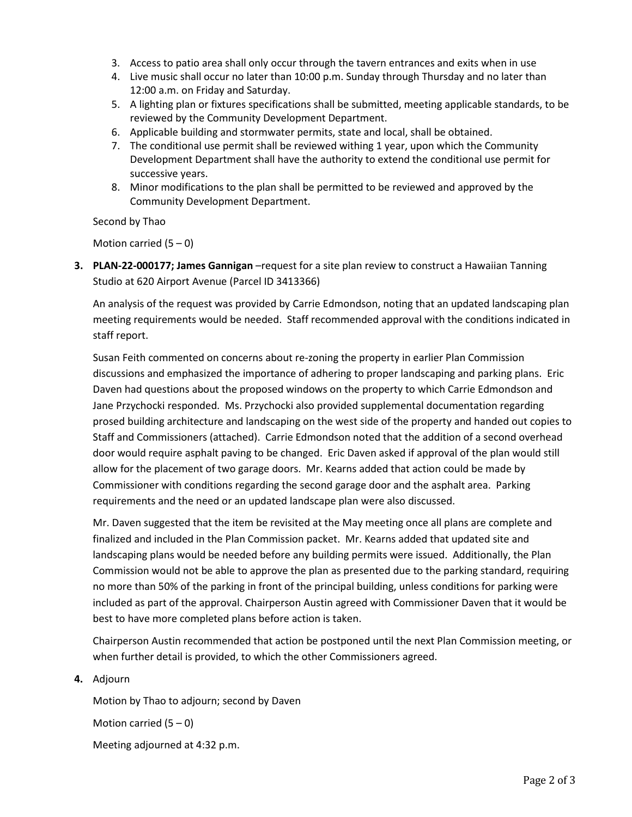- 3. Access to patio area shall only occur through the tavern entrances and exits when in use
- 4. Live music shall occur no later than 10:00 p.m. Sunday through Thursday and no later than 12:00 a.m. on Friday and Saturday.
- 5. A lighting plan or fixtures specifications shall be submitted, meeting applicable standards, to be reviewed by the Community Development Department.
- 6. Applicable building and stormwater permits, state and local, shall be obtained.
- 7. The conditional use permit shall be reviewed withing 1 year, upon which the Community Development Department shall have the authority to extend the conditional use permit for successive years.
- 8. Minor modifications to the plan shall be permitted to be reviewed and approved by the Community Development Department.

Second by Thao

Motion carried  $(5 - 0)$ 

**3. PLAN-22-000177; James Gannigan** –request for a site plan review to construct a Hawaiian Tanning Studio at 620 Airport Avenue (Parcel ID 3413366)

An analysis of the request was provided by Carrie Edmondson, noting that an updated landscaping plan meeting requirements would be needed. Staff recommended approval with the conditions indicated in staff report.

Susan Feith commented on concerns about re-zoning the property in earlier Plan Commission discussions and emphasized the importance of adhering to proper landscaping and parking plans. Eric Daven had questions about the proposed windows on the property to which Carrie Edmondson and Jane Przychocki responded. Ms. Przychocki also provided supplemental documentation regarding prosed building architecture and landscaping on the west side of the property and handed out copies to Staff and Commissioners (attached). Carrie Edmondson noted that the addition of a second overhead door would require asphalt paving to be changed. Eric Daven asked if approval of the plan would still allow for the placement of two garage doors. Mr. Kearns added that action could be made by Commissioner with conditions regarding the second garage door and the asphalt area. Parking requirements and the need or an updated landscape plan were also discussed.

Mr. Daven suggested that the item be revisited at the May meeting once all plans are complete and finalized and included in the Plan Commission packet. Mr. Kearns added that updated site and landscaping plans would be needed before any building permits were issued. Additionally, the Plan Commission would not be able to approve the plan as presented due to the parking standard, requiring no more than 50% of the parking in front of the principal building, unless conditions for parking were included as part of the approval. Chairperson Austin agreed with Commissioner Daven that it would be best to have more completed plans before action is taken.

Chairperson Austin recommended that action be postponed until the next Plan Commission meeting, or when further detail is provided, to which the other Commissioners agreed.

**4.** Adjourn

Motion by Thao to adjourn; second by Daven Motion carried  $(5 - 0)$ Meeting adjourned at 4:32 p.m.